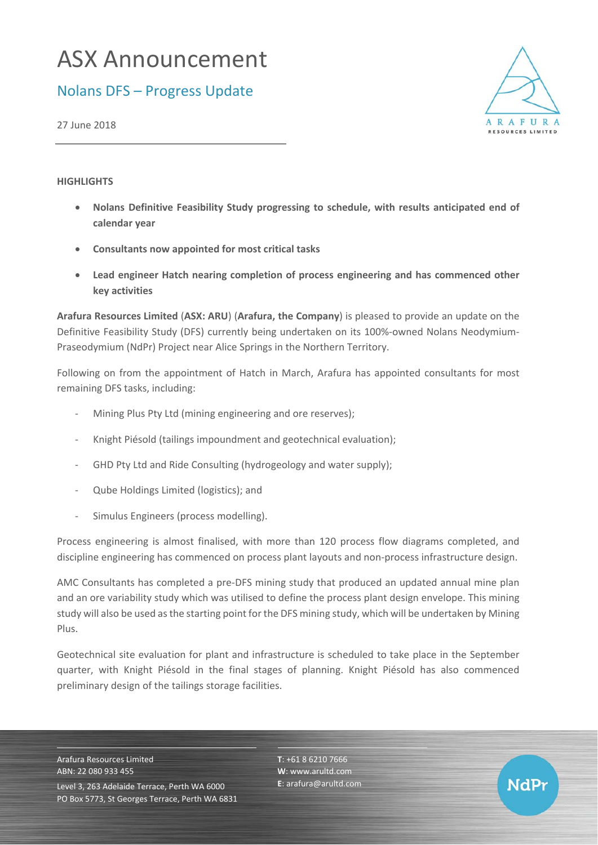## ASX Announcement

## Nolans DFS – Progress Update

27 June 2018

## **HIGHLIGHTS**

- **Nolans Definitive Feasibility Study progressing to schedule, with results anticipated end of calendar year**
- **Consultants now appointed for most critical tasks**
- **Lead engineer Hatch nearing completion of process engineering and has commenced other key activities**

**Arafura Resources Limited** (**ASX: ARU**) (**Arafura, the Company**) is pleased to provide an update on the Definitive Feasibility Study (DFS) currently being undertaken on its 100%-owned Nolans Neodymium-Praseodymium (NdPr) Project near Alice Springs in the Northern Territory.

Following on from the appointment of Hatch in March, Arafura has appointed consultants for most remaining DFS tasks, including:

- Mining Plus Pty Ltd (mining engineering and ore reserves);
- ‐ Knight Piésold (tailings impoundment and geotechnical evaluation);
- GHD Pty Ltd and Ride Consulting (hydrogeology and water supply);
- ‐ Qube Holdings Limited (logistics); and
- Simulus Engineers (process modelling).

Process engineering is almost finalised, with more than 120 process flow diagrams completed, and discipline engineering has commenced on process plant layouts and non‐process infrastructure design.

AMC Consultants has completed a pre‐DFS mining study that produced an updated annual mine plan and an ore variability study which was utilised to define the process plant design envelope. This mining study will also be used as the starting point for the DFS mining study, which will be undertaken by Mining Plus.

Geotechnical site evaluation for plant and infrastructure is scheduled to take place in the September quarter, with Knight Piésold in the final stages of planning. Knight Piésold has also commenced preliminary design of the tailings storage facilities.

Arafura Resources Limited ABN: 22 080 933 455

Level 3, 263 Adelaide Terrace, Perth WA 6000 PO Box 5773, St Georges Terrace, Perth WA 6831 **T**: +61 8 6210 7666 **W**: www.arultd.com **E**: arafura@arultd.com